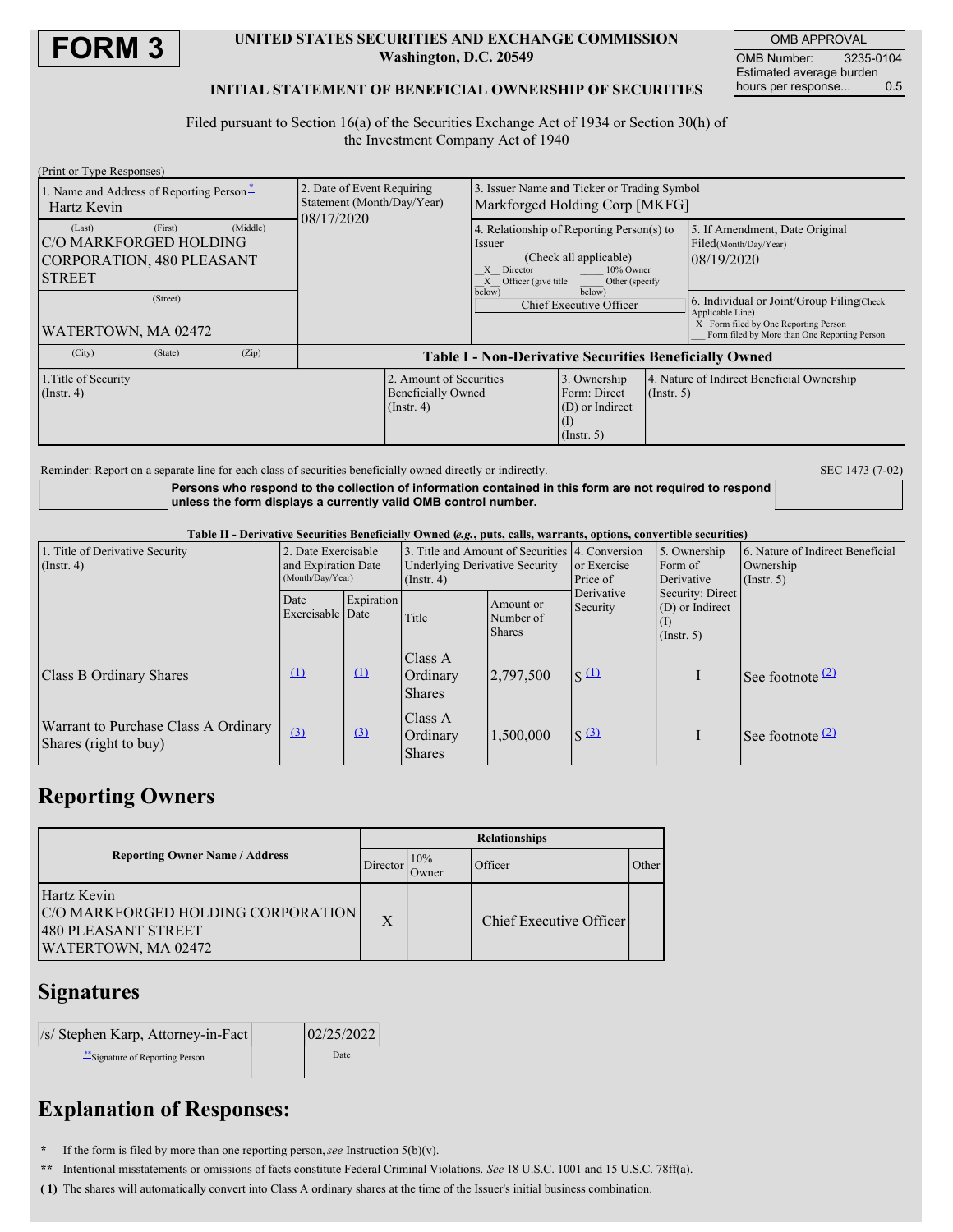

#### **UNITED STATES SECURITIES AND EXCHANGE COMMISSION Washington, D.C. 20549**

OMB APPROVAL OMB Number: 3235-0104 Estimated average burden<br>hours per response... 0.5 hours per response...

## **INITIAL STATEMENT OF BENEFICIAL OWNERSHIP OF SECURITIES**

Filed pursuant to Section 16(a) of the Securities Exchange Act of 1934 or Section 30(h) of the Investment Company Act of 1940

| (Print or Type Responses)                                                                                                                        |                                                                          |                                                                                                                                                                                                    |                                                                                         |                  |                                                                                                                                                                                                                                |  |  |
|--------------------------------------------------------------------------------------------------------------------------------------------------|--------------------------------------------------------------------------|----------------------------------------------------------------------------------------------------------------------------------------------------------------------------------------------------|-----------------------------------------------------------------------------------------|------------------|--------------------------------------------------------------------------------------------------------------------------------------------------------------------------------------------------------------------------------|--|--|
| 1. Name and Address of Reporting Person-<br>Hartz Kevin                                                                                          | 2. Date of Event Requiring<br>Statement (Month/Day/Year)<br>08/17/2020   | 3. Issuer Name and Ticker or Trading Symbol<br>Markforged Holding Corp [MKFG]                                                                                                                      |                                                                                         |                  |                                                                                                                                                                                                                                |  |  |
| (Middle)<br>(First)<br>(Last)<br>IC/O MARKFORGED HOLDING<br><b>CORPORATION, 480 PLEASANT</b><br><b>STREET</b><br>(Street)<br>WATERTOWN, MA 02472 |                                                                          | 4. Relationship of Reporting Person(s) to<br>Issuer<br>(Check all applicable)<br>X Director<br>10% Owner<br>X Officer (give title<br>Other (specify<br>below)<br>below)<br>Chief Executive Officer |                                                                                         |                  | 5. If Amendment, Date Original<br>Filed(Month/Day/Year)<br>08/19/2020<br>6. Individual or Joint/Group Filing Check<br>Applicable Line)<br>X Form filed by One Reporting Person<br>Form filed by More than One Reporting Person |  |  |
| (City)<br>(Zip)<br>(State)                                                                                                                       | <b>Table I - Non-Derivative Securities Beneficially Owned</b>            |                                                                                                                                                                                                    |                                                                                         |                  |                                                                                                                                                                                                                                |  |  |
| 1. Title of Security<br>$($ Instr. 4 $)$                                                                                                         | 2. Amount of Securities<br><b>Beneficially Owned</b><br>$($ Instr. 4 $)$ |                                                                                                                                                                                                    | 3. Ownership<br>Form: Direct<br>(D) or Indirect<br>$\left(1\right)$<br>$($ Instr. 5 $)$ | $($ Instr. 5 $)$ | 4. Nature of Indirect Beneficial Ownership                                                                                                                                                                                     |  |  |

Reminder: Report on a separate line for each class of securities beneficially owned directly or indirectly. SEC 1473 (7-02)

**Persons who respond to the collection of information contained in this form are not required to respond unless the form displays a currently valid OMB control number.**

#### Table II - Derivative Securities Beneficially Owned (e.g., puts, calls, warrants, options, convertible securities)

| 1. Title of Derivative Security<br>$($ Instr. 4 $)$           | 3. Title and Amount of Securities 4. Conversion<br>2. Date Exercisable<br>and Expiration Date<br><b>Underlying Derivative Security</b><br>(Month/Day/Year)<br>$($ Instr. 4 $)$ |            |                                             | or Exercise<br>Price of                 | 5. Ownership<br>Form of<br>Derivative | 6. Nature of Indirect Beneficial<br>Ownership<br>$($ Instr. 5 $)$ |                                          |
|---------------------------------------------------------------|--------------------------------------------------------------------------------------------------------------------------------------------------------------------------------|------------|---------------------------------------------|-----------------------------------------|---------------------------------------|-------------------------------------------------------------------|------------------------------------------|
|                                                               | Date<br>Exercisable Date                                                                                                                                                       | Expiration | Title                                       | Amount or<br>Number of<br><b>Shares</b> | Derivative<br>Security                | Security: Direct<br>(D) or Indirect<br>(1)<br>$($ Instr. 5 $)$    |                                          |
| Class B Ordinary Shares                                       | $\Omega$                                                                                                                                                                       | $\Omega$   | Class A<br><b>Ordinary</b><br><b>Shares</b> | 2,797,500                               | $\sqrt{s} \Omega$                     |                                                                   | See footnote <sup><math>(2)</math></sup> |
| Warrant to Purchase Class A Ordinary<br>Shares (right to buy) | $\left(3\right)$                                                                                                                                                               | (3)        | Class A<br>Ordinary<br><b>Shares</b>        | 1,500,000                               | $\sqrt{(3)}$                          |                                                                   | See footnote $(2)$                       |

# **Reporting Owners**

| <b>Reporting Owner Name / Address</b>                                                           |   | <b>Relationships</b> |                         |       |  |  |  |
|-------------------------------------------------------------------------------------------------|---|----------------------|-------------------------|-------|--|--|--|
|                                                                                                 |   | 10%<br><b>J</b> wner | Officer                 | Other |  |  |  |
| Hartz Kevin<br>C/O MARKFORGED HOLDING CORPORATION<br>480 PLEASANT STREET<br>WATERTOWN, MA 02472 | X |                      | Chief Executive Officer |       |  |  |  |

# **Signatures**

 $|$ /s/ Stephen Karp, Attorney-in-Fact  $|02/25/2022$ \*\*Signature of Reporting Person Date

# **Explanation of Responses:**

**\*** If the form is filed by more than one reporting person,*see* Instruction 5(b)(v).

**\*\*** Intentional misstatements or omissions of facts constitute Federal Criminal Violations. *See* 18 U.S.C. 1001 and 15 U.S.C. 78ff(a).

**( 1)** The shares will automatically convert into Class A ordinary shares at the time of the Issuer's initial business combination.